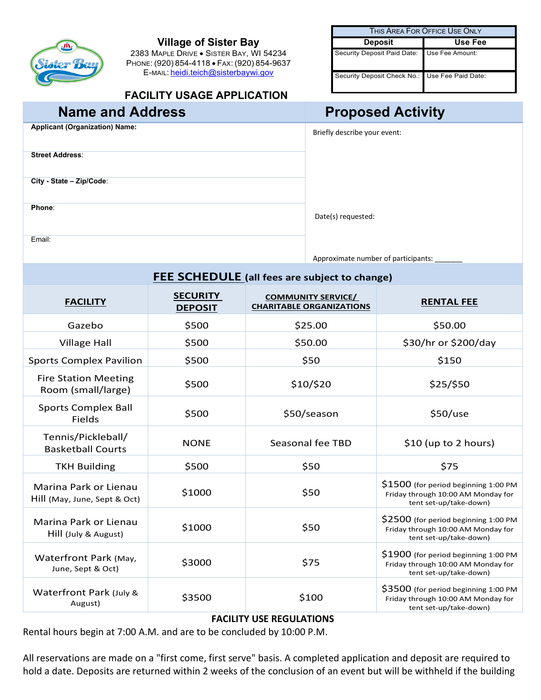# ۸Ñ

#### **Village of Sister Bay**

2383 MAPLE DRIVE • SISTER BAY, WI 54234 PHONE: (920) 854-4118 • FAX: (920) 854-9637 E-MAIL: [heidi.teich@sisterbaywi.gov](mailto:heidi.teich@sisterbaywi.gov)

#### **FACILITY USAGE APPLICATION**

| THIS AREA FOR OFFICE USE ONLY                  |         |  |  |
|------------------------------------------------|---------|--|--|
| <b>Deposit</b>                                 | Use Fee |  |  |
| Security Deposit Paid Date: Use Fee Amount:    |         |  |  |
| Security Deposit Check No.: Use Fee Paid Date: |         |  |  |

### **Name and Address <b>Proposed Activity**

| <b>Applicant (Organization) Name:</b> |
|---------------------------------------|
| <b>Street Address:</b>                |
| City - State - Zip/Code:              |
| Phone:                                |
| Email:                                |

**Briefly describe your event:** 

Date(s) requested:

Approximate number of participants:

| <b>FEE SCHEDULE</b> (all fees are subject to change)  |                                   |                                                              |                                                                                                      |  |  |
|-------------------------------------------------------|-----------------------------------|--------------------------------------------------------------|------------------------------------------------------------------------------------------------------|--|--|
| <b>FACILITY</b>                                       | <b>SECURITY</b><br><b>DEPOSIT</b> | <b>COMMUNITY SERVICE/</b><br><b>CHARITABLE ORGANIZATIONS</b> | <b>RENTAL FEE</b>                                                                                    |  |  |
| Gazebo                                                | \$500                             | \$25.00                                                      | \$50.00                                                                                              |  |  |
| <b>Village Hall</b>                                   | \$500                             | \$50.00                                                      | \$30/hr or \$200/day                                                                                 |  |  |
| <b>Sports Complex Pavilion</b>                        | \$500                             | \$50                                                         | \$150                                                                                                |  |  |
| <b>Fire Station Meeting</b><br>Room (small/large)     | \$500                             | \$10/\$20                                                    | \$25/\$50                                                                                            |  |  |
| <b>Sports Complex Ball</b><br>Fields                  | \$500                             | \$50/season                                                  | \$50/use                                                                                             |  |  |
| Tennis/Pickleball/<br><b>Basketball Courts</b>        | <b>NONE</b>                       | Seasonal fee TBD                                             | \$10 (up to 2 hours)                                                                                 |  |  |
| <b>TKH Building</b>                                   | \$500                             | \$50                                                         | \$75                                                                                                 |  |  |
| Marina Park or Lienau<br>Hill (May, June, Sept & Oct) | \$1000                            | \$50                                                         | \$1500 (for period beginning 1:00 PM<br>Friday through 10:00 AM Monday for<br>tent set-up/take-down) |  |  |
| Marina Park or Lienau<br>Hill (July & August)         | \$1000                            | \$50                                                         | \$2500 (for period beginning 1:00 PM<br>Friday through 10:00 AM Monday for<br>tent set-up/take-down) |  |  |
| Waterfront Park (May,<br>June, Sept & Oct)            | \$3000                            | \$75                                                         | \$1900 (for period beginning 1:00 PM<br>Friday through 10:00 AM Monday for<br>tent set-up/take-down) |  |  |
| Waterfront Park (July &<br>August)                    | \$3500                            | \$100                                                        | \$3500 (for period beginning 1:00 PM<br>Friday through 10:00 AM Monday for<br>tent set-up/take-down) |  |  |

#### **FACILITY USE REGULATIONS**

Rental hours begin at 7:00 A.M. and are to be concluded by 10:00 P.M.

All reservations are made on a "first come, first serve" basis. A completed application and deposit are required to hold a date. Deposits are returned within 2 weeks of the conclusion of an event but will be withheld if the building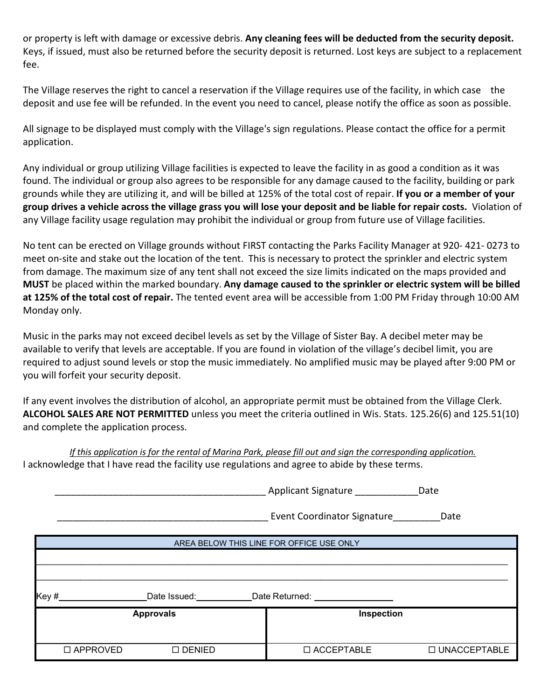or property is left with damage or excessive debris. **Any cleaning fees will be deducted from the security deposit.** Keys, if issued, must also be returned before the security deposit is returned. Lost keys are subject to a replacement fee.

The Village reserves the right to cancel a reservation if the Village requires use of the facility, in which case the deposit and use fee will be refunded. In the event you need to cancel, please notify the office as soon as possible.

All signage to be displayed must comply with the Village's sign regulations. Please contact the office for a permit application.

Any individual or group utilizing Village facilities is expected to leave the facility in as good a condition as it was found. The individual or group also agrees to be responsible for any damage caused to the facility, building or park grounds while they are utilizing it, and will be billed at 125% of the total cost of repair. **If you or a member of your group drives a vehicle across the village grass you will lose your deposit and be liable for repair costs.** Violation of any Village facility usage regulation may prohibit the individual or group from future use of Village facilities.

No tent can be erected on Village grounds without FIRST contacting the Parks Facility Manager at 920- 421- 0273 to meet on-site and stake out the location of the tent. This is necessary to protect the sprinkler and electric system from damage. The maximum size of any tent shall not exceed the size limits indicated on the maps provided and **MUST** be placed within the marked boundary. **Any damage caused to the sprinkler or electric system will be billed at 125% of the total cost of repair.** The tented event area will be accessible from 1:00 PM Friday through 10:00 AM Monday only.

Music in the parks may not exceed decibel levels as set by the Village of Sister Bay. A decibel meter may be available to verify that levels are acceptable. If you are found in violation of the village's decibel limit, you are required to adjust sound levels or stop the music immediately. No amplified music may be played after 9:00 PM or you will forfeit your security deposit.

If any event involves the distribution of alcohol, an appropriate permit must be obtained from the Village Clerk. **ALCOHOL SALES ARE NOT PERMITTED** unless you meet the criteria outlined in Wis. Stats. 125.26(6) and 125.51(10) and complete the application process.

*If this application is for the rental of Marina Park, please fill out and sign the corresponding application.* I acknowledge that I have read the facility use regulations and agree to abide by these terms.

|                                          |                        | Applicant Signature _______                                                                                    | Date           |  |  |
|------------------------------------------|------------------------|----------------------------------------------------------------------------------------------------------------|----------------|--|--|
|                                          |                        | Event Coordinator Signature                                                                                    | Date           |  |  |
| AREA BELOW THIS LINE FOR OFFICE USE ONLY |                        |                                                                                                                |                |  |  |
|                                          |                        |                                                                                                                |                |  |  |
|                                          |                        |                                                                                                                |                |  |  |
| Key#                                     | Date Issued: Note that | Date Returned: The Contract of the Contract of the Contract of the Contract of the Contract of the Contract of |                |  |  |
| <b>Approvals</b>                         |                        | Inspection                                                                                                     |                |  |  |
|                                          |                        |                                                                                                                |                |  |  |
| $\Box$ APPROVED                          | $\square$ DENIED       | $\Box$ ACCEPTABLE                                                                                              | □ UNACCEPTABLE |  |  |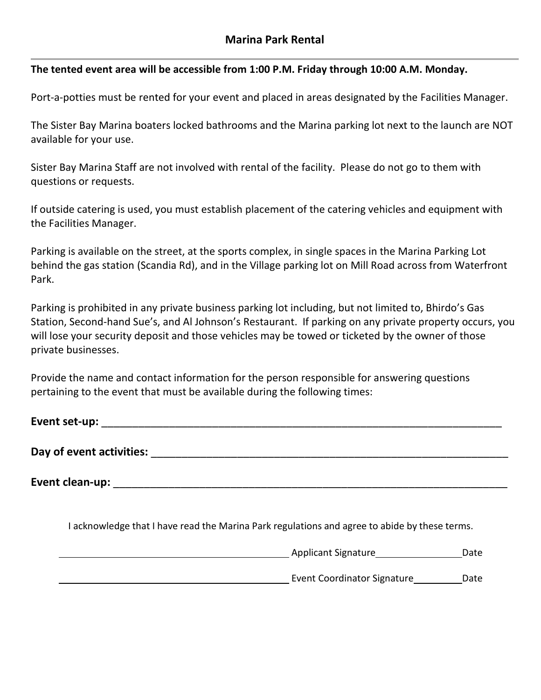#### **The tented event area will be accessible from 1:00 P.M. Friday through 10:00 A.M. Monday.**

Port-a-potties must be rented for your event and placed in areas designated by the Facilities Manager.

The Sister Bay Marina boaters locked bathrooms and the Marina parking lot next to the launch are NOT available for your use.

Sister Bay Marina Staff are not involved with rental of the facility. Please do not go to them with questions or requests.

If outside catering is used, you must establish placement of the catering vehicles and equipment with the Facilities Manager.

Parking is available on the street, at the sports complex, in single spaces in the Marina Parking Lot behind the gas station (Scandia Rd), and in the Village parking lot on Mill Road across from Waterfront Park.

Parking is prohibited in any private business parking lot including, but not limited to, Bhirdo's Gas Station, Second-hand Sue's, and Al Johnson's Restaurant. If parking on any private property occurs, you will lose your security deposit and those vehicles may be towed or ticketed by the owner of those private businesses.

Provide the name and contact information for the person responsible for answering questions pertaining to the event that must be available during the following times:

| Event set-up: |  |  |  |
|---------------|--|--|--|
|               |  |  |  |

**Day of event activities:** \_\_\_\_\_\_\_\_\_\_\_\_\_\_\_\_\_\_\_\_\_\_\_\_\_\_\_\_\_\_\_\_\_\_\_\_\_\_\_\_\_\_\_\_\_\_\_\_\_\_\_\_\_\_\_\_\_\_

**Event clean-up:** \_\_\_\_\_\_\_\_\_\_\_\_\_\_\_\_\_\_\_\_\_\_\_\_\_\_\_\_\_\_\_\_\_\_\_\_\_\_\_\_\_\_\_\_\_\_\_\_\_\_\_\_\_\_\_\_\_\_\_\_\_\_\_\_

I acknowledge that I have read the Marina Park regulations and agree to abide by these terms.

**Applicant Signature** Date Date Event Coordinator Signature Date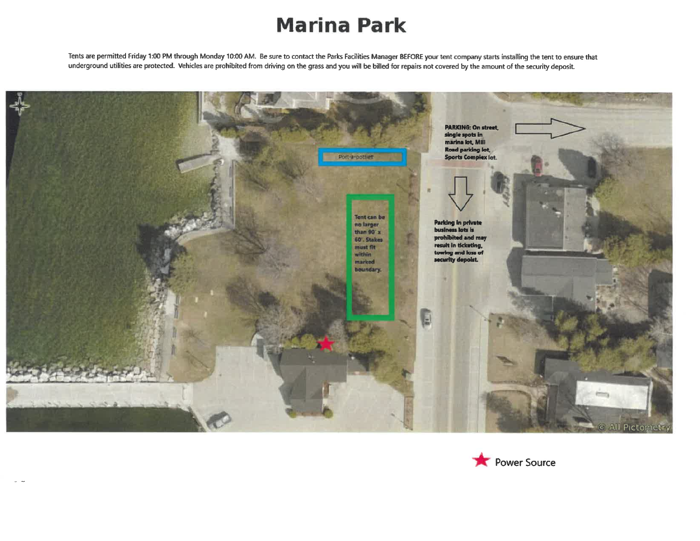## **Marina Park**

Tents are permitted Friday 1:00 PM through Monday 10:00 AM. Be sure to contact the Parks Facilities Manager BEFORE your tent company starts installing the tent to ensure that underground utilities are protected. Vehicles are prohibited from driving on the grass and you will be billed for repairs not covered by the amount of the security deposit.



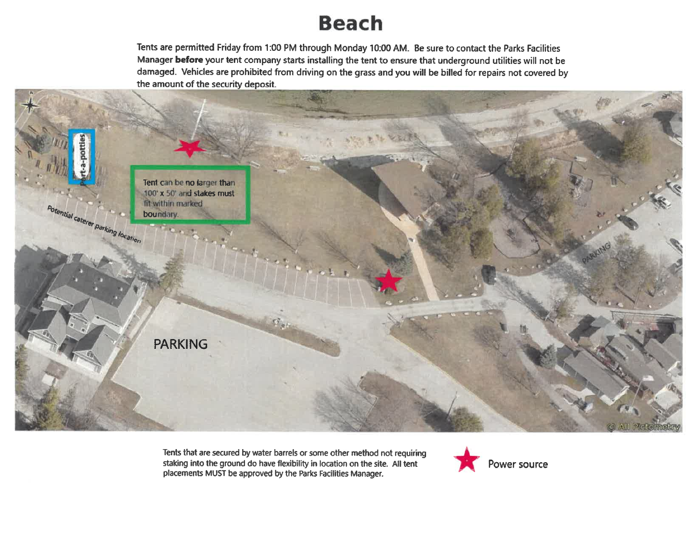## **Beach**

Tents are permitted Friday from 1:00 PM through Monday 10:00 AM. Be sure to contact the Parks Facilities Manager before your tent company starts installing the tent to ensure that underground utilities will not be damaged. Vehicles are prohibited from driving on the grass and you will be billed for repairs not covered by the amount of the security deposit.



Tents that are secured by water barrels or some other method not requiring staking into the ground do have flexibility in location on the site. All tent placements MUST be approved by the Parks Facilities Manager.